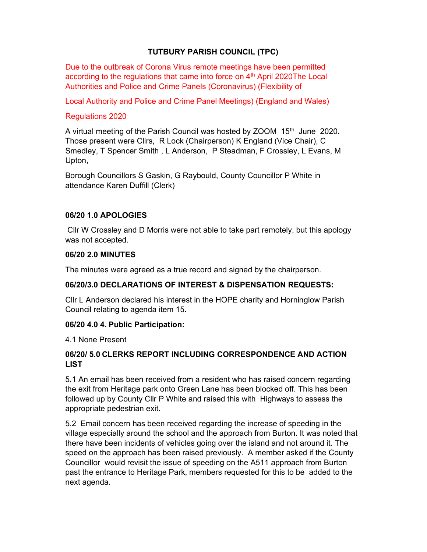## TUTBURY PARISH COUNCIL (TPC)

Due to the outbreak of Corona Virus remote meetings have been permitted according to the regulations that came into force on  $4<sup>th</sup>$  April 2020The Local Authorities and Police and Crime Panels (Coronavirus) (Flexibility of

Local Authority and Police and Crime Panel Meetings) (England and Wales)

### Regulations 2020

A virtual meeting of the Parish Council was hosted by ZOOM 15<sup>th</sup> June 2020. Those present were Cllrs, R Lock (Chairperson) K England (Vice Chair), C Smedley, T Spencer Smith , L Anderson, P Steadman, F Crossley, L Evans, M Upton,

Borough Councillors S Gaskin, G Raybould, County Councillor P White in attendance Karen Duffill (Clerk)

### 06/20 1.0 APOLOGIES

Cllr W Crossley and D Morris were not able to take part remotely, but this apology was not accepted.

#### 06/20 2.0 MINUTES

The minutes were agreed as a true record and signed by the chairperson.

#### 06/20/3.0 DECLARATIONS OF INTEREST & DISPENSATION REQUESTS:

Cllr L Anderson declared his interest in the HOPE charity and Horninglow Parish Council relating to agenda item 15.

#### 06/20 4.0 4. Public Participation:

4.1 None Present

### 06/20/ 5.0 CLERKS REPORT INCLUDING CORRESPONDENCE AND ACTION **LIST**

5.1 An email has been received from a resident who has raised concern regarding the exit from Heritage park onto Green Lane has been blocked off. This has been followed up by County Cllr P White and raised this with Highways to assess the appropriate pedestrian exit.

5.2 Email concern has been received regarding the increase of speeding in the village especially around the school and the approach from Burton. It was noted that there have been incidents of vehicles going over the island and not around it. The speed on the approach has been raised previously. A member asked if the County Councillor would revisit the issue of speeding on the A511 approach from Burton past the entrance to Heritage Park, members requested for this to be added to the next agenda.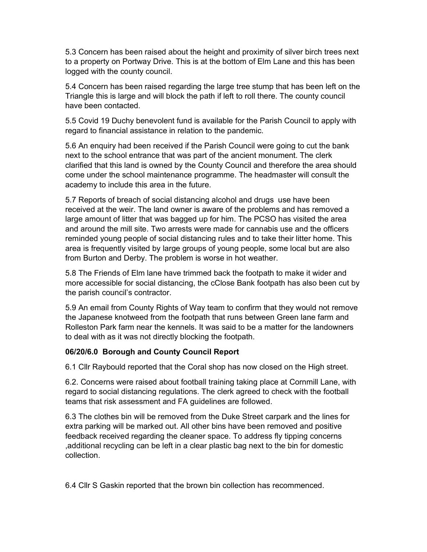5.3 Concern has been raised about the height and proximity of silver birch trees next to a property on Portway Drive. This is at the bottom of Elm Lane and this has been logged with the county council.

5.4 Concern has been raised regarding the large tree stump that has been left on the Triangle this is large and will block the path if left to roll there. The county council have been contacted.

5.5 Covid 19 Duchy benevolent fund is available for the Parish Council to apply with regard to financial assistance in relation to the pandemic.

5.6 An enquiry had been received if the Parish Council were going to cut the bank next to the school entrance that was part of the ancient monument. The clerk clarified that this land is owned by the County Council and therefore the area should come under the school maintenance programme. The headmaster will consult the academy to include this area in the future.

5.7 Reports of breach of social distancing alcohol and drugs use have been received at the weir. The land owner is aware of the problems and has removed a large amount of litter that was bagged up for him. The PCSO has visited the area and around the mill site. Two arrests were made for cannabis use and the officers reminded young people of social distancing rules and to take their litter home. This area is frequently visited by large groups of young people, some local but are also from Burton and Derby. The problem is worse in hot weather.

5.8 The Friends of Elm lane have trimmed back the footpath to make it wider and more accessible for social distancing, the cClose Bank footpath has also been cut by the parish council's contractor.

5.9 An email from County Rights of Way team to confirm that they would not remove the Japanese knotweed from the footpath that runs between Green lane farm and Rolleston Park farm near the kennels. It was said to be a matter for the landowners to deal with as it was not directly blocking the footpath.

#### 06/20/6.0 Borough and County Council Report

6.1 Cllr Raybould reported that the Coral shop has now closed on the High street.

6.2. Concerns were raised about football training taking place at Cornmill Lane, with regard to social distancing regulations. The clerk agreed to check with the football teams that risk assessment and FA guidelines are followed.

6.3 The clothes bin will be removed from the Duke Street carpark and the lines for extra parking will be marked out. All other bins have been removed and positive feedback received regarding the cleaner space. To address fly tipping concerns ,additional recycling can be left in a clear plastic bag next to the bin for domestic collection.

6.4 Cllr S Gaskin reported that the brown bin collection has recommenced.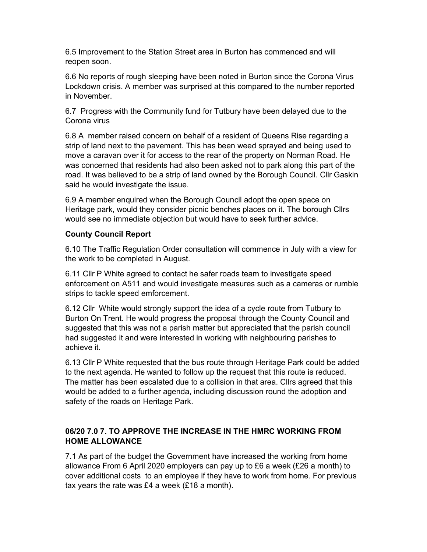6.5 Improvement to the Station Street area in Burton has commenced and will reopen soon.

6.6 No reports of rough sleeping have been noted in Burton since the Corona Virus Lockdown crisis. A member was surprised at this compared to the number reported in November.

6.7 Progress with the Community fund for Tutbury have been delayed due to the Corona virus

6.8 A member raised concern on behalf of a resident of Queens Rise regarding a strip of land next to the pavement. This has been weed sprayed and being used to move a caravan over it for access to the rear of the property on Norman Road. He was concerned that residents had also been asked not to park along this part of the road. It was believed to be a strip of land owned by the Borough Council. Cllr Gaskin said he would investigate the issue.

6.9 A member enquired when the Borough Council adopt the open space on Heritage park, would they consider picnic benches places on it. The borough Cllrs would see no immediate objection but would have to seek further advice.

# County Council Report

6.10 The Traffic Regulation Order consultation will commence in July with a view for the work to be completed in August.

6.11 Cllr P White agreed to contact he safer roads team to investigate speed enforcement on A511 and would investigate measures such as a cameras or rumble strips to tackle speed emforcement.

6.12 Cllr White would strongly support the idea of a cycle route from Tutbury to Burton On Trent. He would progress the proposal through the County Council and suggested that this was not a parish matter but appreciated that the parish council had suggested it and were interested in working with neighbouring parishes to achieve it.

6.13 Cllr P White requested that the bus route through Heritage Park could be added to the next agenda. He wanted to follow up the request that this route is reduced. The matter has been escalated due to a collision in that area. Cllrs agreed that this would be added to a further agenda, including discussion round the adoption and safety of the roads on Heritage Park.

# 06/20 7.0 7. TO APPROVE THE INCREASE IN THE HMRC WORKING FROM HOME ALLOWANCE

7.1 As part of the budget the Government have increased the working from home allowance From 6 April 2020 employers can pay up to £6 a week (£26 a month) to cover additional costs to an employee if they have to work from home. For previous tax years the rate was £4 a week (£18 a month).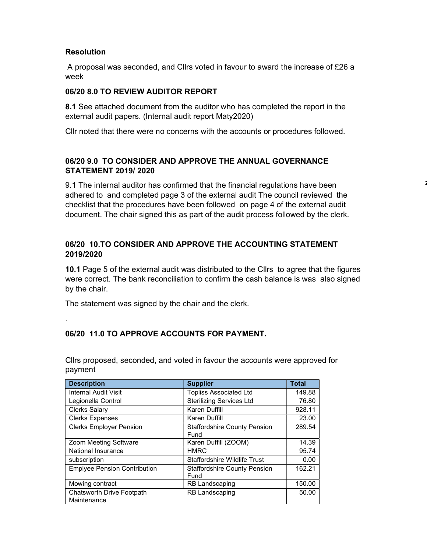## **Resolution**

.

 A proposal was seconded, and Cllrs voted in favour to award the increase of £26 a week

### 06/20 8.0 TO REVIEW AUDITOR REPORT

8.1 See attached document from the auditor who has completed the report in the external audit papers. (Internal audit report Maty2020)

Cllr noted that there were no concerns with the accounts or procedures followed.

## 06/20 9.0 TO CONSIDER AND APPROVE THE ANNUAL GOVERNANCE STATEMENT 2019/ 2020

9.1 The internal auditor has confirmed that the financial regulations have been adhered to and completed page 3 of the external audit The council reviewed the checklist that the procedures have been followed on page 4 of the external audit document. The chair signed this as part of the audit process followed by the clerk. 2,320.99

## 06/20 10.TO CONSIDER AND APPROVE THE ACCOUNTING STATEMENT 2019/2020

10.1 Page 5 of the external audit was distributed to the Cllrs to agree that the figures were correct. The bank reconciliation to confirm the cash balance is was also signed by the chair.

The statement was signed by the chair and the clerk.

## 06/20 11.0 TO APPROVE ACCOUNTS FOR PAYMENT.

| <b>Description</b>                              | <b>Supplier</b>                             | <b>Total</b> |
|-------------------------------------------------|---------------------------------------------|--------------|
| <b>Internal Audit Visit</b>                     | <b>Topliss Associated Ltd</b>               | 149.88       |
| Legionella Control                              | <b>Sterilizing Services Ltd</b>             | 76.80        |
| <b>Clerks Salary</b>                            | Karen Duffill                               | 928.11       |
| <b>Clerks Expenses</b>                          | Karen Duffill                               | 23.00        |
| <b>Clerks Employer Pension</b>                  | <b>Staffordshire County Pension</b><br>Fund | 289.54       |
| Zoom Meeting Software                           | Karen Duffill (ZOOM)                        | 14.39        |
| National Insurance                              | <b>HMRC</b>                                 | 95.74        |
| subscription                                    | Staffordshire Wildlife Trust                | 0.00         |
| <b>Emplyee Pension Contribution</b>             | <b>Staffordshire County Pension</b><br>Fund | 162.21       |
| Mowing contract                                 | <b>RB Landscaping</b>                       | 150.00       |
| <b>Chatsworth Drive Footpath</b><br>Maintenance | <b>RB Landscaping</b>                       | 50.00        |

Cllrs proposed, seconded, and voted in favour the accounts were approved for payment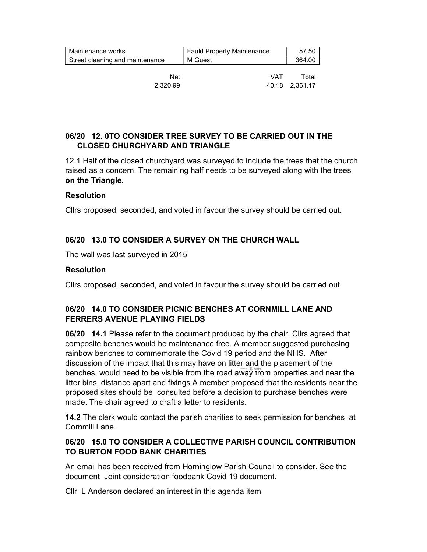| Maintenance works               | <b>Fauld Property Maintenance</b> | 57.50          |
|---------------------------------|-----------------------------------|----------------|
| Street cleaning and maintenance | M Guest                           | 364.00         |
|                                 |                                   |                |
| Net                             | <b>VAT</b>                        | Total          |
| 2.320.99                        |                                   | 40.18 2,361.17 |

### 06/20 12. 0TO CONSIDER TREE SURVEY TO BE CARRIED OUT IN THE CLOSED CHURCHYARD AND TRIANGLE

12.1 Half of the closed churchyard was surveyed to include the trees that the church raised as a concern. The remaining half needs to be surveyed along with the trees on the Triangle.

#### Resolution

Cllrs proposed, seconded, and voted in favour the survey should be carried out.

### 06/20 13.0 TO CONSIDER A SURVEY ON THE CHURCH WALL

The wall was last surveyed in 2015

#### Resolution

Cllrs proposed, seconded, and voted in favour the survey should be carried out

#### 06/20 14.0 TO CONSIDER PICNIC BENCHES AT CORNMILL LANE AND FERRERS AVENUE PLAYING FIELDS

06/20 14.1 Please refer to the document produced by the chair. Cllrs agreed that composite benches would be maintenance free. A member suggested purchasing rainbow benches to commemorate the Covid 19 period and the NHS. After discussion of the impact that this may have on litter and the placement of the benches, would need to be visible from the road away from properties and near the litter bins, distance apart and fixings A member proposed that the residents near the proposed sites should be consulted before a decision to purchase benches were made. The chair agreed to draft a letter to residents.

14.2 The clerk would contact the parish charities to seek permission for benches at Cornmill Lane.

### 06/20 15.0 TO CONSIDER A COLLECTIVE PARISH COUNCIL CONTRIBUTION TO BURTON FOOD BANK CHARITIES

An email has been received from Horninglow Parish Council to consider. See the document Joint consideration foodbank Covid 19 document.

Cllr L Anderson declared an interest in this agenda item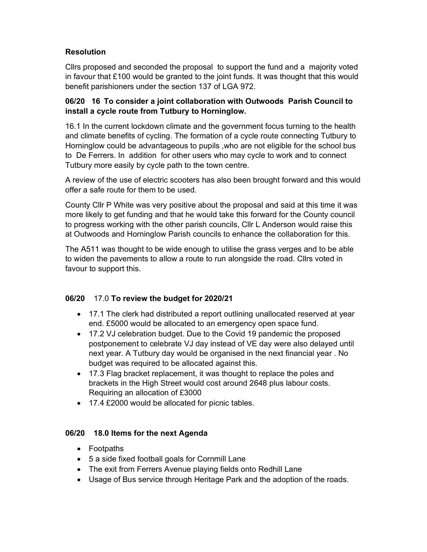# **Resolution**

Cllrs proposed and seconded the proposal to support the fund and a majority voted in favour that £100 would be granted to the joint funds. It was thought that this would benefit parishioners under the section 137 of LGA 972.

## 06/20 16 To consider a joint collaboration with Outwoods Parish Council to install a cycle route from Tutbury to Horninglow.

16.1 In the current lockdown climate and the government focus turning to the health and climate benefits of cycling. The formation of a cycle route connecting Tutbury to Horninglow could be advantageous to pupils ,who are not eligible for the school bus to De Ferrers. In addition for other users who may cycle to work and to connect Tutbury more easily by cycle path to the town centre.

A review of the use of electric scooters has also been brought forward and this would offer a safe route for them to be used.

County Cllr P White was very positive about the proposal and said at this time it was more likely to get funding and that he would take this forward for the County council to progress working with the other parish councils, Cllr L Anderson would raise this at Outwoods and Horninglow Parish councils to enhance the collaboration for this.

The A511 was thought to be wide enough to utilise the grass verges and to be able to widen the pavements to allow a route to run alongside the road. Cllrs voted in favour to support this.

## 06/20 17.0 To review the budget for 2020/21

- 17.1 The clerk had distributed a report outlining unallocated reserved at year end. £5000 would be allocated to an emergency open space fund.
- 17.2 VJ celebration budget. Due to the Covid 19 pandemic the proposed postponement to celebrate VJ day instead of VE day were also delayed until next year. A Tutbury day would be organised in the next financial year . No budget was required to be allocated against this.
- 17.3 Flag bracket replacement, it was thought to replace the poles and brackets in the High Street would cost around 2648 plus labour costs. Requiring an allocation of £3000
- 17.4 £2000 would be allocated for picnic tables.

## 06/20 18.0 Items for the next Agenda

- Footpaths
- 5 a side fixed football goals for Cornmill Lane
- The exit from Ferrers Avenue playing fields onto Redhill Lane
- Usage of Bus service through Heritage Park and the adoption of the roads.